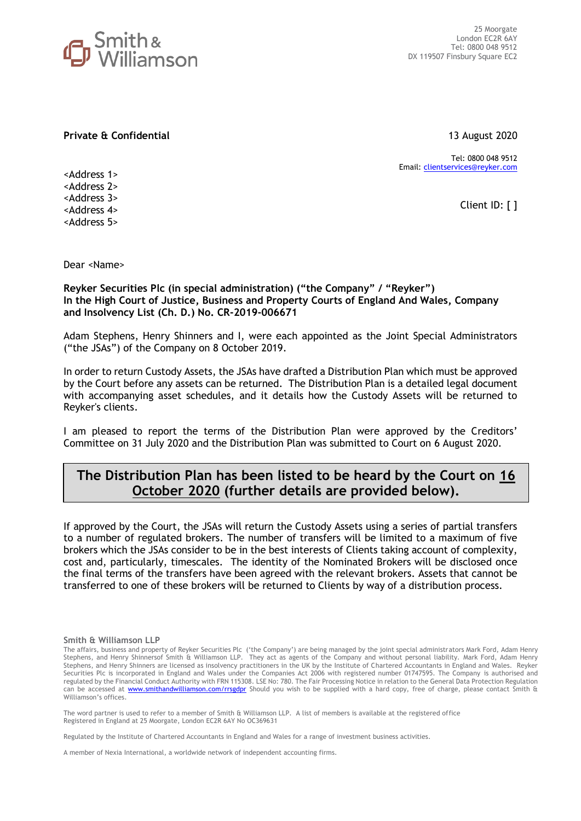

**Private & Confidential** 13 August 2020

Tel: 0800 048 9512 Email: [clientservices@reyker.com](mailto:clientservices@reyker.com)

Client ID: [ ]

<Address 1> <Address 2> <Address 3> <Address 4> <Address 5>

Dear <Name>

**Reyker Securities Plc (in special administration) ("the Company" / "Reyker") In the High Court of Justice, Business and Property Courts of England And Wales, Company and Insolvency List (Ch. D.) No. CR-2019-006671**

Adam Stephens, Henry Shinners and I, were each appointed as the Joint Special Administrators ("the JSAs") of the Company on 8 October 2019.

In order to return Custody Assets, the JSAs have drafted a Distribution Plan which must be approved by the Court before any assets can be returned. The Distribution Plan is a detailed legal document with accompanying asset schedules, and it details how the Custody Assets will be returned to Reyker's clients.

I am pleased to report the terms of the Distribution Plan were approved by the Creditors' Committee on 31 July 2020 and the Distribution Plan was submitted to Court on 6 August 2020.

# **The Distribution Plan has been listed to be heard by the Court on 16 October 2020 (further details are provided below).**

If approved by the Court, the JSAs will return the Custody Assets using a series of partial transfers to a number of regulated brokers. The number of transfers will be limited to a maximum of five brokers which the JSAs consider to be in the best interests of Clients taking account of complexity, cost and, particularly, timescales. The identity of the Nominated Brokers will be disclosed once the final terms of the transfers have been agreed with the relevant brokers. Assets that cannot be transferred to one of these brokers will be returned to Clients by way of a distribution process. **#**

#### **Smith & Williamson LLP**

The word partner is used to refer to a member of Smith & Williamson LLP. A list of members is available at the registered office Registered in England at 25 Moorgate, London EC2R 6AY No OC369631

Regulated by the Institute of Chartered Accountants in England and Wales for a range of investment business activities.

A member of Nexia International, a worldwide network of independent accounting firms.

The affairs, business and property of Reyker Securities Plc ('the Company') are being managed by the joint special administrators Mark Ford, Adam Henry Stephens, and Henry Shinnersof Smith & Williamson LLP. They act as agents of the Company and without personal liability. Mark Ford, Adam Henry Stephens, and Henry Shinners are licensed as insolvency practitioners in the UK by the Institute of Chartered Accountants in England and Wales. Reyker Securities Plc is incorporated in England and Wales under the Companies Act 2006 with registered number 01747595. The Company is authorised and regulated by the Financial Conduct Authority with FRN 115308. LSE No: 780. The Fair Processing Notice in relation to the General Data Protection Regulation can be accessed at [www.smithandwilliamson.com/rrsgdpr](http://www.smithandwilliamson.com/rrsgdpr) Should you wish to be supplied with a hard copy, free of charge, please contact Smith & Williamson's offices.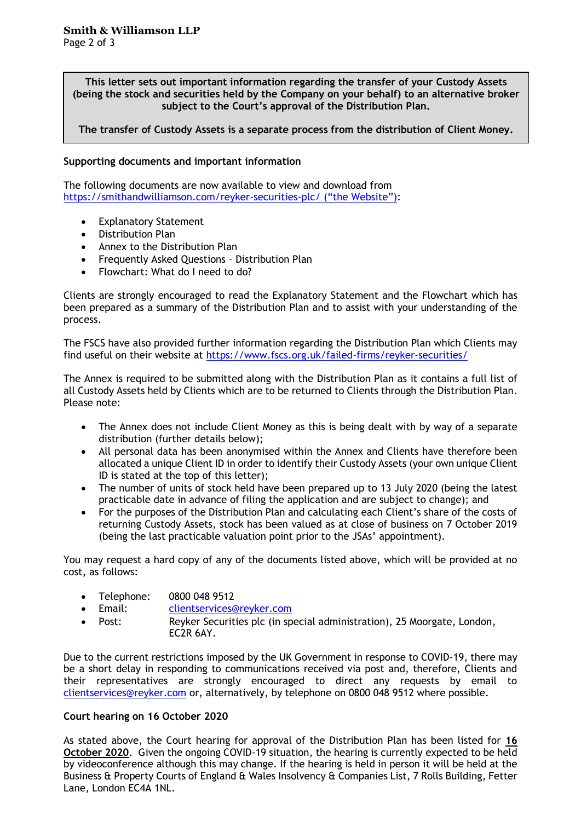**This letter sets out important information regarding the transfer of your Custody Assets (being the stock and securities held by the Company on your behalf) to an alternative broker subject to the Court's approval of the Distribution Plan.** 

**The transfer of Custody Assets is a separate process from the distribution of Client Money.** 

# **Supporting documents and important information**

The following documents are now available to view and download from <https://smithandwilliamson.com/reyker-securities-plc/> ("the Website"):

- **Explanatory Statement**
- Distribution Plan
- Annex to the Distribution Plan
- Frequently Asked Questions Distribution Plan
- Flowchart: What do I need to do?

Clients are strongly encouraged to read the Explanatory Statement and the Flowchart which has been prepared as a summary of the Distribution Plan and to assist with your understanding of the process.

The FSCS have also provided further information regarding the Distribution Plan which Clients may find useful on their website at<https://www.fscs.org.uk/failed-firms/reyker-securities/>

The Annex is required to be submitted along with the Distribution Plan as it contains a full list of all Custody Assets held by Clients which are to be returned to Clients through the Distribution Plan. Please note:

- The Annex does not include Client Money as this is being dealt with by way of a separate distribution (further details below);
- All personal data has been anonymised within the Annex and Clients have therefore been allocated a unique Client ID in order to identify their Custody Assets (your own unique Client ID is stated at the top of this letter);
- The number of units of stock held have been prepared up to 13 July 2020 (being the latest practicable date in advance of filing the application and are subject to change); and
- For the purposes of the Distribution Plan and calculating each Client's share of the costs of returning Custody Assets, stock has been valued as at close of business on 7 October 2019 (being the last practicable valuation point prior to the JSAs' appointment).

You may request a hard copy of any of the documents listed above, which will be provided at no cost, as follows:

- Telephone: 0800 048 9512
- Email: [clientservices@reyker.com](mailto:clientservices@reyker.com)
- Post: Reyker Securities plc (in special administration), 25 Moorgate, London, EC2R 6AY.

Due to the current restrictions imposed by the UK Government in response to COVID-19, there may be a short delay in responding to communications received via post and, therefore, Clients and their representatives are strongly encouraged to direct any requests by email to [clientservices@reyker.com](mailto:clientservices@reyker.com) or, alternatively, by telephone on 0800 048 9512 where possible.

## **Court hearing on 16 October 2020**

As stated above, the Court hearing for approval of the Distribution Plan has been listed for **16 October 2020**. Given the ongoing COVID-19 situation, the hearing is currently expected to be held by videoconference although this may change. If the hearing is held in person it will be held at the Business & Property Courts of England & Wales Insolvency & Companies List, 7 Rolls Building, Fetter Lane, London EC4A 1NL.